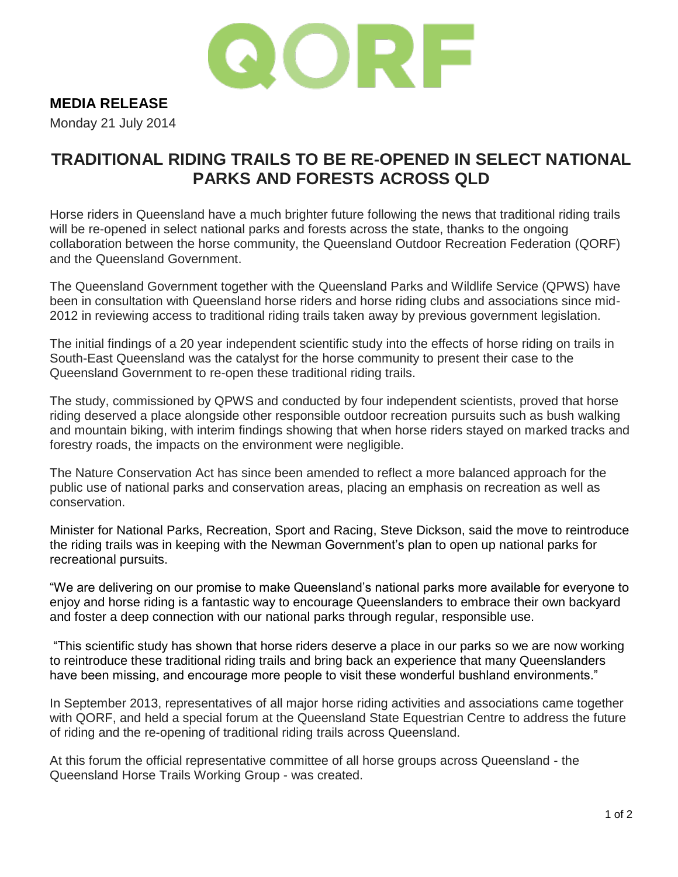

## **MEDIA RELEASE**

Monday 21 July 2014

## **TRADITIONAL RIDING TRAILS TO BE RE-OPENED IN SELECT NATIONAL PARKS AND FORESTS ACROSS QLD**

Horse riders in Queensland have a much brighter future following the news that traditional riding trails will be re-opened in select national parks and forests across the state, thanks to the ongoing collaboration between the horse community, the Queensland Outdoor Recreation Federation (QORF) and the Queensland Government.

The Queensland Government together with the Queensland Parks and Wildlife Service (QPWS) have been in consultation with Queensland horse riders and horse riding clubs and associations since mid-2012 in reviewing access to traditional riding trails taken away by previous government legislation.

The initial findings of a 20 year independent scientific study into the effects of horse riding on trails in South-East Queensland was the catalyst for the horse community to present their case to the Queensland Government to re-open these traditional riding trails.

The study, commissioned by QPWS and conducted by four independent scientists, proved that horse riding deserved a place alongside other responsible outdoor recreation pursuits such as bush walking and mountain biking, with interim findings showing that when horse riders stayed on marked tracks and forestry roads, the impacts on the environment were negligible.

The Nature Conservation Act has since been amended to reflect a more balanced approach for the public use of national parks and conservation areas, placing an emphasis on recreation as well as conservation.

Minister for National Parks, Recreation, Sport and Racing, Steve Dickson, said the move to reintroduce the riding trails was in keeping with the Newman Government's plan to open up national parks for recreational pursuits.

"We are delivering on our promise to make Queensland's national parks more available for everyone to enjoy and horse riding is a fantastic way to encourage Queenslanders to embrace their own backyard and foster a deep connection with our national parks through regular, responsible use.

"This scientific study has shown that horse riders deserve a place in our parks so we are now working to reintroduce these traditional riding trails and bring back an experience that many Queenslanders have been missing, and encourage more people to visit these wonderful bushland environments."

In September 2013, representatives of all major horse riding activities and associations came together with QORF, and held a special forum at the Queensland State Equestrian Centre to address the future of riding and the re-opening of traditional riding trails across Queensland.

At this forum the official representative committee of all horse groups across Queensland - the Queensland Horse Trails Working Group - was created.